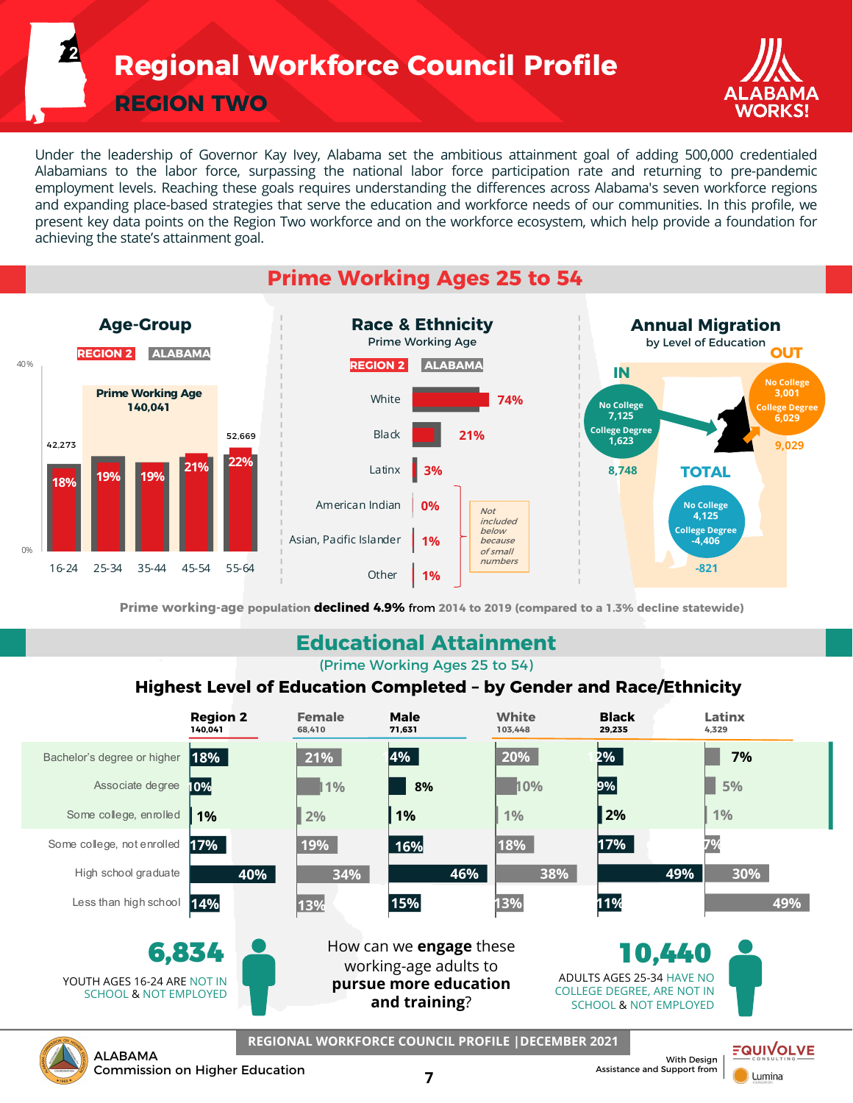**Regional Workforce Council Profile**

**REGION TWO**

**2**



Under the leadership of Governor Kay Ivey, Alabama set the ambitious attainment goal of adding 500,000 credentialed Alabamians to the labor force, surpassing the national labor force participation rate and returning to pre-pandemic employment levels. Reaching these goals requires understanding the differences across Alabama's seven workforce regions and expanding place-based strategies that serve the education and workforce needs of our communities. In this profile, we present key data points on the Region Two workforce and on the workforce ecosystem, which help provide a foundation for achieving the state's attainment goal.

## **Prime Working Ages 25 to 54**



**Prime working-age population declined 4.9%** from **2014 to 2019 (compared to a 1.3% decline statewide)**

### **Educational Attainment**

(Prime Working Ages 25 to 54)

#### **Highest Level of Education Completed – by Gender and Race/Ethnicity**